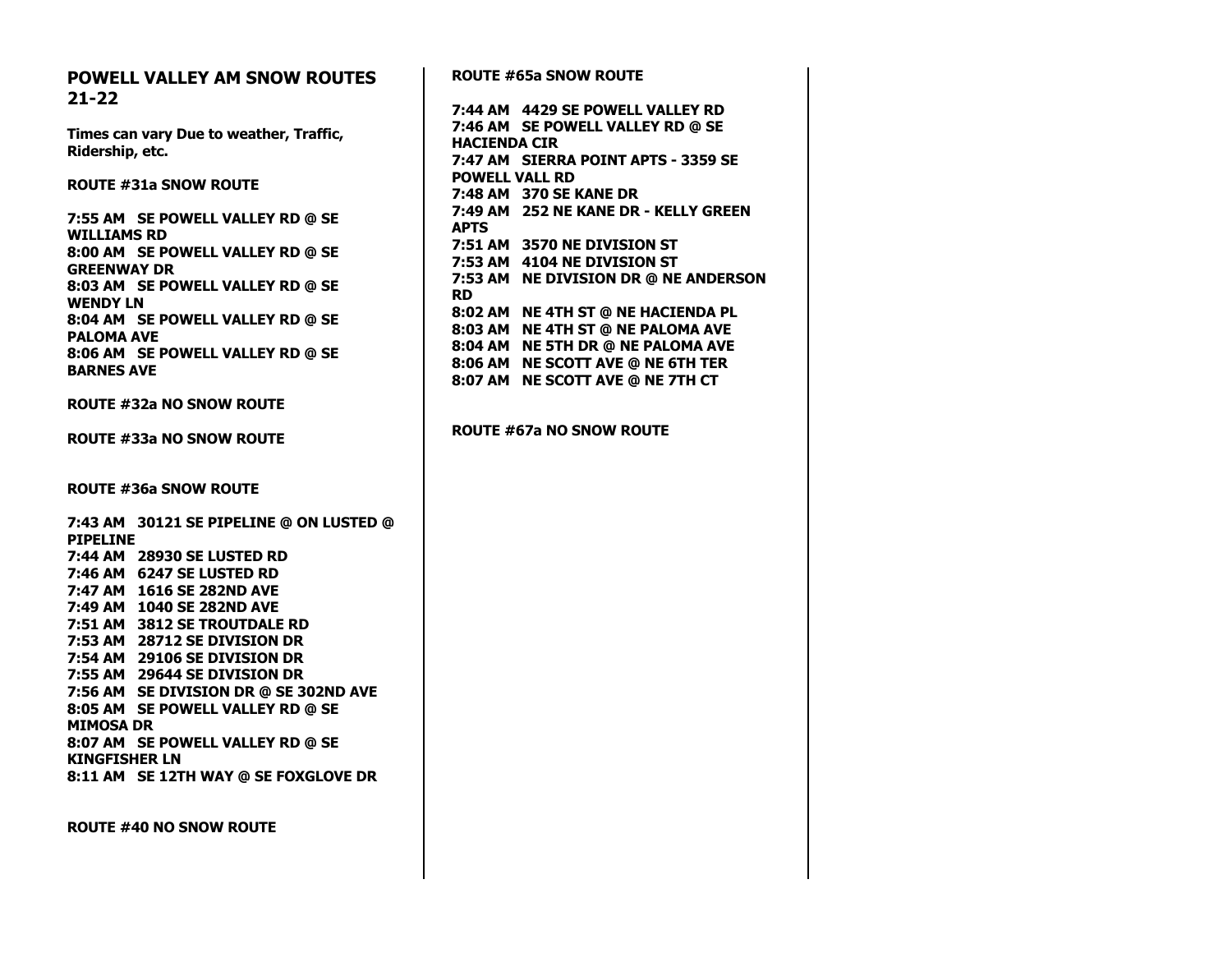## **POWELL VALLEY AM SNOW ROUTES 21-22**

**Times can vary Due to weather, Traffic, Ridership, etc.**

**ROUTE #31a SNOW ROUTE**

**7:55 AM SE POWELL VALLEY RD @ SE WILLIAMS RD 8:00 AM SE POWELL VALLEY RD @ SE GREENWAY DR 8:03 AM SE POWELL VALLEY RD @ SE WENDY LN 8:04 AM SE POWELL VALLEY RD @ SE PALOMA AVE 8:06 AM SE POWELL VALLEY RD @ SE BARNES AVE**

**ROUTE #32a NO SNOW ROUTE**

**ROUTE #33a NO SNOW ROUTE**

**ROUTE #36a SNOW ROUTE**

**7:43 AM 30121 SE PIPELINE @ ON LUSTED @ PIPELINE 7:44 AM 28930 SE LUSTED RD 7:46 AM 6247 SE LUSTED RD 7:47 AM 1616 SE 282ND AVE 7:49 AM 1040 SE 282ND AVE 7:51 AM 3812 SE TROUTDALE RD 7:53 AM 28712 SE DIVISION DR 7:54 AM 29106 SE DIVISION DR 7:55 AM 29644 SE DIVISION DR 7:56 AM SE DIVISION DR @ SE 302ND AVE 8:05 AM SE POWELL VALLEY RD @ SE MIMOSA DR 8:07 AM SE POWELL VALLEY RD @ SE KINGFISHER LN 8:11 AM SE 12TH WAY @ SE FOXGLOVE DR**

**ROUTE #40 NO SNOW ROUTE**

**ROUTE #65a SNOW ROUTE 7:44 AM 4429 SE POWELL VALLEY RD 7:46 AM SE POWELL VALLEY RD @ SE HACIENDA CIR 7:47 AM SIERRA POINT APTS - 3359 SE POWELL VALL RD 7:48 AM 370 SE KANE DR 7:49 AM 252 NE KANE DR - KELLY GREEN APTS 7:51 AM 3570 NE DIVISION ST 7:53 AM 4104 NE DIVISION ST 7:53 AM NE DIVISION DR @ NE ANDERSON RD 8:02 AM NE 4TH ST @ NE HACIENDA PL 8:03 AM NE 4TH ST @ NE PALOMA AVE 8:04 AM NE 5TH DR @ NE PALOMA AVE 8:06 AM NE SCOTT AVE @ NE 6TH TER 8:07 AM NE SCOTT AVE @ NE 7TH CT ROUTE #67a NO SNOW ROUTE**